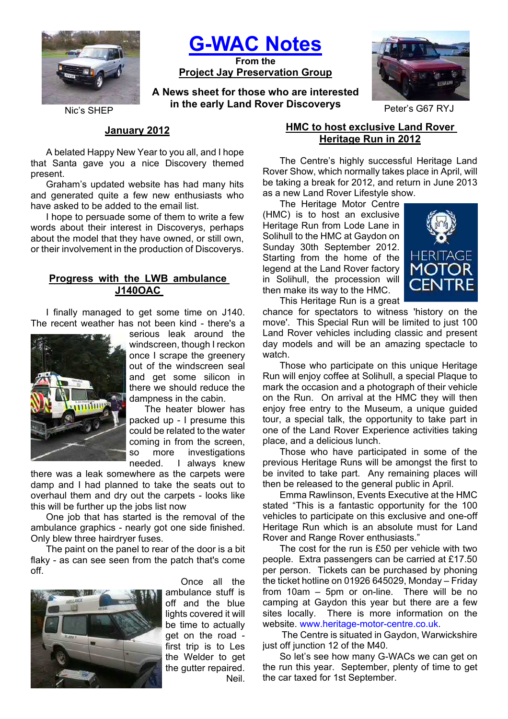

**G-WAC Notes**

**From the Project Jay Preservation Group**

**A News sheet for those who are interested in the early Land Rover Discoverys** Peter's G67 RYJ



# **January 2012**

A belated Happy New Year to you all, and I hope that Santa gave you a nice Discovery themed present.

Graham's updated website has had many hits and generated quite a few new enthusiasts who have asked to be added to the email list.

I hope to persuade some of them to write a few words about their interest in Discoverys, perhaps about the model that they have owned, or still own, or their involvement in the production of Discoverys.

# **Progress with the LWB ambulance J140OAC**

I finally managed to get some time on J140. The recent weather has not been kind - there's a



serious leak around the windscreen, though I reckon once I scrape the greenery out of the windscreen seal and get some silicon in there we should reduce the dampness in the cabin.

The heater blower has packed up - I presume this could be related to the water coming in from the screen, so more investigations needed. I always knew

there was a leak somewhere as the carpets were damp and I had planned to take the seats out to overhaul them and dry out the carpets - looks like this will be further up the jobs list now

One job that has started is the removal of the ambulance graphics - nearly got one side finished. Only blew three hairdryer fuses.

The paint on the panel to rear of the door is a bit flaky - as can see seen from the patch that's come off.



Once all the ambulance stuff is off and the blue lights covered it will be time to actually get on the road first trip is to Les the Welder to get the gutter repaired. Neil.

# **HMC to host exclusive Land Rover Heritage Run in 2012**

The Centre's highly successful Heritage Land Rover Show, which normally takes place in April, will be taking a break for 2012, and return in June 2013 as a new Land Rover Lifestyle show.

The Heritage Motor Centre (HMC) is to host an exclusive Heritage Run from Lode Lane in Solihull to the HMC at Gaydon on Sunday 30th September 2012. Starting from the home of the legend at the Land Rover factory in Solihull, the procession will then make its way to the HMC.



This Heritage Run is a great chance for spectators to witness 'history on the

move'. This Special Run will be limited to just 100 Land Rover vehicles including classic and present day models and will be an amazing spectacle to watch.

Those who participate on this unique Heritage Run will enjoy coffee at Solihull, a special Plaque to mark the occasion and a photograph of their vehicle on the Run. On arrival at the HMC they will then enjoy free entry to the Museum, a unique guided tour, a special talk, the opportunity to take part in one of the Land Rover Experience activities taking place, and a delicious lunch.

Those who have participated in some of the previous Heritage Runs will be amongst the first to be invited to take part. Any remaining places will then be released to the general public in April.

Emma Rawlinson, Events Executive at the HMC stated "This is a fantastic opportunity for the 100 vehicles to participate on this exclusive and one-off Heritage Run which is an absolute must for Land Rover and Range Rover enthusiasts."

The cost for the run is £50 per vehicle with two people. Extra passengers can be carried at £17.50 per person. Tickets can be purchased by phoning the ticket hotline on 01926 645029, Monday – Friday from 10am – 5pm or on-line. There will be no camping at Gaydon this year but there are a few sites locally. There is more information on the website. www.heritage-motor-centre.co.uk.

The Centre is situated in Gaydon, Warwickshire just off junction 12 of the M40.

So let's see how many G-WACs we can get on the run this year. September, plenty of time to get the car taxed for 1st September.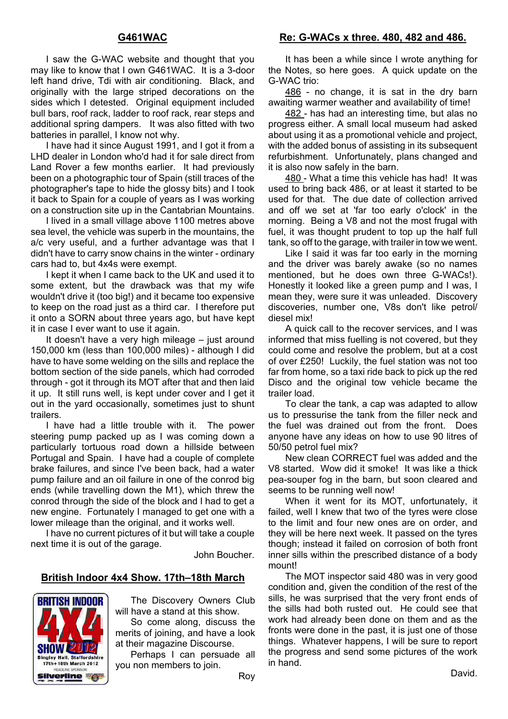## **G461WAC**

I saw the G-WAC website and thought that you may like to know that I own G461WAC. It is a 3-door left hand drive, Tdi with air conditioning. Black, and originally with the large striped decorations on the sides which I detested. Original equipment included bull bars, roof rack, ladder to roof rack, rear steps and additional spring dampers. It was also fitted with two batteries in parallel, I know not why.

I have had it since August 1991, and I got it from a LHD dealer in London who'd had it for sale direct from Land Rover a few months earlier. It had previously been on a photographic tour of Spain (still traces of the photographer's tape to hide the glossy bits) and I took it back to Spain for a couple of years as I was working on a construction site up in the Cantabrian Mountains.

I lived in a small village above 1100 metres above sea level, the vehicle was superb in the mountains, the a/c very useful, and a further advantage was that I didn't have to carry snow chains in the winter - ordinary cars had to, but 4x4s were exempt.

I kept it when I came back to the UK and used it to some extent, but the drawback was that my wife wouldn't drive it (too big!) and it became too expensive to keep on the road just as a third car. I therefore put it onto a SORN about three years ago, but have kept it in case I ever want to use it again.

It doesn't have a very high mileage – just around 150,000 km (less than 100,000 miles) - although I did have to have some welding on the sills and replace the bottom section of the side panels, which had corroded through - got it through its MOT after that and then laid it up. It still runs well, is kept under cover and I get it out in the yard occasionally, sometimes just to shunt trailers.

I have had a little trouble with it. The power steering pump packed up as I was coming down a particularly tortuous road down a hillside between Portugal and Spain. I have had a couple of complete brake failures, and since I've been back, had a water pump failure and an oil failure in one of the conrod big ends (while travelling down the M1), which threw the conrod through the side of the block and I had to get a new engine. Fortunately I managed to get one with a lower mileage than the original, and it works well.

I have no current pictures of it but will take a couple next time it is out of the garage.

John Boucher.

#### **British Indoor 4x4 Show. 17th–18th March**

**BRITISH INDOOR SHOW 201 Bingley Hall, Staffordshire** 17th+18th March 2012 **EADLINE SPONSOR Silverline** 

The Discovery Owners Club will have a stand at this show.

So come along, discuss the merits of joining, and have a look at their magazine Discourse.

Perhaps I can persuade all you non members to join.

**Re: G-WACs x three. 480, 482 and 486.**

It has been a while since I wrote anything for the Notes, so here goes. A quick update on the G-WAC trio:

486 - no change, it is sat in the dry barn awaiting warmer weather and availability of time!

482 - has had an interesting time, but alas no progress either. A small local museum had asked about using it as a promotional vehicle and project, with the added bonus of assisting in its subsequent refurbishment. Unfortunately, plans changed and it is also now safely in the barn.

480 - What a time this vehicle has had! It was used to bring back 486, or at least it started to be used for that. The due date of collection arrived and off we set at 'far too early o'clock' in the morning. Being a V8 and not the most frugal with fuel, it was thought prudent to top up the half full tank, so off to the garage, with trailer in tow we went.

Like I said it was far too early in the morning and the driver was barely awake (so no names mentioned, but he does own three G-WACs!). Honestly it looked like a green pump and I was, I mean they, were sure it was unleaded. Discovery discoveries, number one, V8s don't like petrol/ diesel mix!

A quick call to the recover services, and I was informed that miss fuelling is not covered, but they could come and resolve the problem, but at a cost of over £250! Luckily, the fuel station was not too far from home, so a taxi ride back to pick up the red Disco and the original tow vehicle became the trailer load.

To clear the tank, a cap was adapted to allow us to pressurise the tank from the filler neck and the fuel was drained out from the front. Does anyone have any ideas on how to use 90 litres of 50/50 petrol fuel mix?

New clean CORRECT fuel was added and the V8 started. Wow did it smoke! It was like a thick pea-souper fog in the barn, but soon cleared and seems to be running well now!

When it went for its MOT, unfortunately, it failed, well I knew that two of the tyres were close to the limit and four new ones are on order, and they will be here next week. It passed on the tyres though; instead it failed on corrosion of both front inner sills within the prescribed distance of a body mount!

The MOT inspector said 480 was in very good condition and, given the condition of the rest of the sills, he was surprised that the very front ends of the sills had both rusted out. He could see that work had already been done on them and as the fronts were done in the past, it is just one of those things. Whatever happens, I will be sure to report the progress and send some pictures of the work in hand.

Roy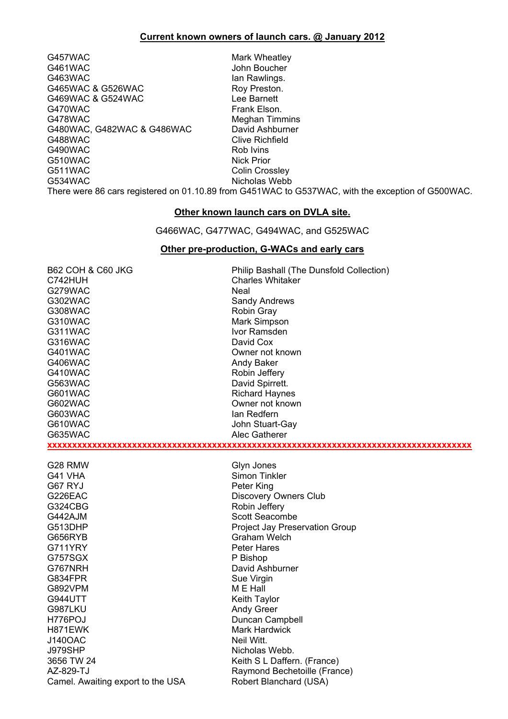## **Current known owners of launch cars. @ January 2012**

G457WAC Mark Wheatley G461WAC John Boucher G463WAC Ian Rawlings. G465WAC & G526WAC Roy Preston. G469WAC & G524WAC Lee Barnett G470WAC Frank Elson. G478WAC Meghan Timmins G480WAC, G482WAC & G486WAC David Ashburner G488WAC Clive Richfield G490WAC Rob Ivins G510WAC Nick Prior G511WAC Colin Crossley<br>G534WAC Colin Crossley<br>Nicholas Webb

Nicholas Webb

There were 86 cars registered on 01.10.89 from G451WAC to G537WAC, with the exception of G500WAC.

# **Other known launch cars on DVLA site.**

G466WAC, G477WAC, G494WAC, and G525WAC

#### **Other pre-production, G-WACs and early cars**

| <b>B62 COH &amp; C60 JKG</b>      | Philip Bashall (The Dunsfold Collection) |
|-----------------------------------|------------------------------------------|
| C742HUH                           | <b>Charles Whitaker</b>                  |
| G279WAC                           | Neal                                     |
| G302WAC                           | <b>Sandy Andrews</b>                     |
| <b>G308WAC</b>                    | <b>Robin Gray</b>                        |
| G310WAC                           | Mark Simpson                             |
| G311WAC                           | Ivor Ramsden                             |
| G316WAC                           | David Cox                                |
| G401WAC                           | Owner not known                          |
| G406WAC                           | Andy Baker                               |
| G410WAC                           | Robin Jeffery                            |
| G563WAC                           | David Spirrett.                          |
| G601WAC                           | <b>Richard Haynes</b>                    |
| G602WAC                           | Owner not known                          |
| G603WAC                           | lan Redfern                              |
| G610WAC                           | John Stuart-Gay                          |
| G635WAC                           | Alec Gatherer                            |
|                                   |                                          |
|                                   |                                          |
| G28 RMW                           | Glyn Jones                               |
| G41 VHA                           | Simon Tinkler                            |
| G67 RYJ                           | Peter King                               |
| G226EAC                           | <b>Discovery Owners Club</b>             |
| G324CBG                           | Robin Jeffery                            |
| G442AJM                           | Scott Seacombe                           |
| G513DHP                           | Project Jay Preservation Group           |
| G656RYB                           | <b>Graham Welch</b>                      |
| G711YRY                           | Peter Hares                              |
| G757SGX                           | P Bishop                                 |
| G767NRH                           | David Ashburner                          |
| G834FPR                           | Sue Virgin                               |
| G892VPM                           | M E Hall                                 |
| <b>G944UTT</b>                    | Keith Taylor                             |
| G987LKU                           | <b>Andy Greer</b>                        |
| H776POJ                           | Duncan Campbell                          |
| H871EWK                           | <b>Mark Hardwick</b>                     |
| <b>J140OAC</b>                    | Neil Witt.                               |
| <b>J979SHP</b>                    | Nicholas Webb.                           |
| 3656 TW 24                        | Keith S L Daffern. (France)              |
| AZ-829-TJ                         | Raymond Bechetoille (France)             |
| Camel. Awaiting export to the USA | Robert Blanchard (USA)                   |